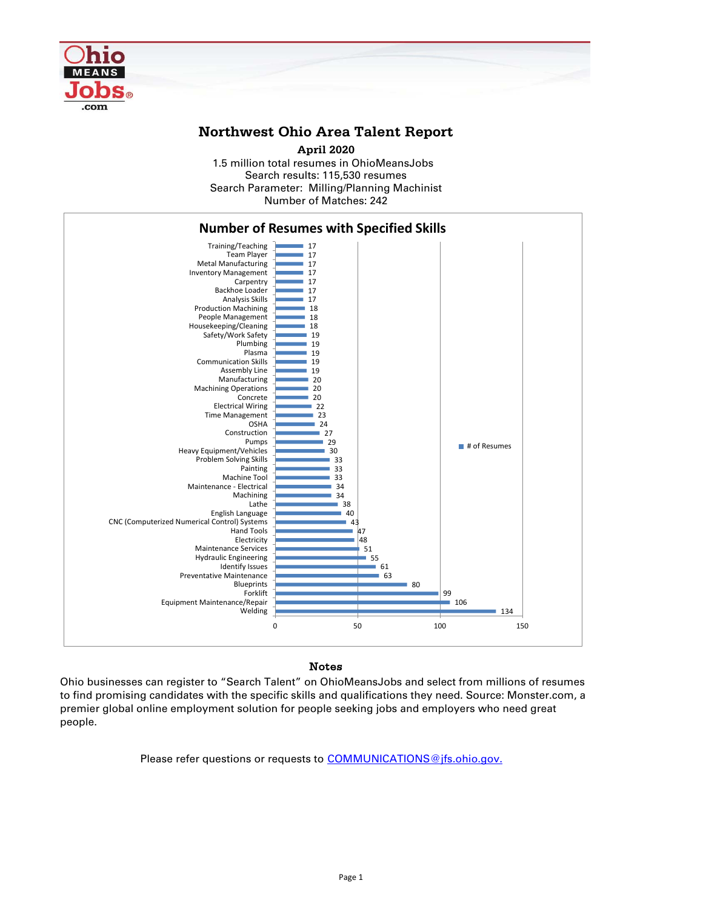

## **Northwest Ohio Area Talent Report**

1.5 million total resumes in OhioMeansJobs Search results: 115,530 resumes Number of Matches: 242 **April 2020** Search Parameter: Milling/Planning Machinist



## Notes

Ohio businesses can register to "Search Talent" on OhioMeansJobs and select from millions of resumes to find promising candidates with the specific skills and qualifications they need. Source: Monster.com, a premier global online employment solution for people seeking jobs and employers who need great people.

Please refer questions or requests to [COMMUNICATIONS@jfs.ohio.gov.](mailto:COMMUNICATIONS@jfs.ohio.gov.)